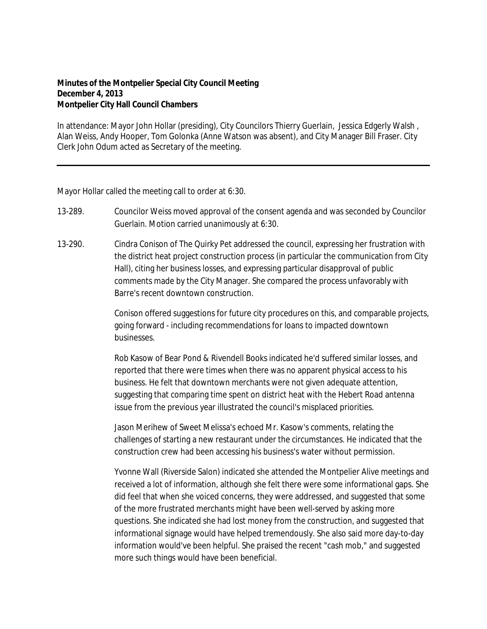## **Minutes of the Montpelier Special City Council Meeting December 4, 2013 Montpelier City Hall Council Chambers**

In attendance: Mayor John Hollar (presiding), City Councilors Thierry Guerlain, Jessica Edgerly Walsh , Alan Weiss, Andy Hooper, Tom Golonka (Anne Watson was absent), and City Manager Bill Fraser. City Clerk John Odum acted as Secretary of the meeting.

Mayor Hollar called the meeting call to order at 6:30.

- 13-289. Councilor Weiss moved approval of the consent agenda and was seconded by Councilor Guerlain. Motion carried unanimously at 6:30.
- 13-290. Cindra Conison of The Quirky Pet addressed the council, expressing her frustration with the district heat project construction process (in particular the communication from City Hall), citing her business losses, and expressing particular disapproval of public comments made by the City Manager. She compared the process unfavorably with Barre's recent downtown construction.

Conison offered suggestions for future city procedures on this, and comparable projects, going forward - including recommendations for loans to impacted downtown businesses.

Rob Kasow of Bear Pond & Rivendell Books indicated he'd suffered similar losses, and reported that there were times when there was no apparent physical access to his business. He felt that downtown merchants were not given adequate attention, suggesting that comparing time spent on district heat with the Hebert Road antenna issue from the previous year illustrated the council's misplaced priorities.

Jason Merihew of Sweet Melissa's echoed Mr. Kasow's comments, relating the challenges of starting a new restaurant under the circumstances. He indicated that the construction crew had been accessing his business's water without permission.

Yvonne Wall (Riverside Salon) indicated she attended the Montpelier Alive meetings and received a lot of information, although she felt there were some informational gaps. She did feel that when she voiced concerns, they were addressed, and suggested that some of the more frustrated merchants might have been well-served by asking more questions. She indicated she had lost money from the construction, and suggested that informational signage would have helped tremendously. She also said more day-to-day information would've been helpful. She praised the recent "cash mob," and suggested more such things would have been beneficial.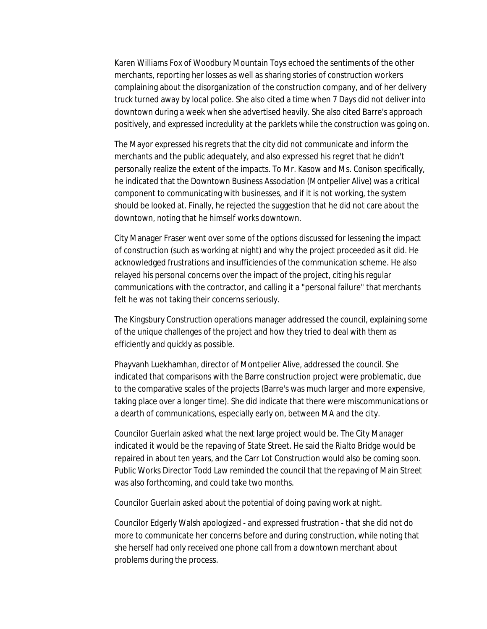Karen Williams Fox of Woodbury Mountain Toys echoed the sentiments of the other merchants, reporting her losses as well as sharing stories of construction workers complaining about the disorganization of the construction company, and of her delivery truck turned away by local police. She also cited a time when 7 Days did not deliver into downtown during a week when she advertised heavily. She also cited Barre's approach positively, and expressed incredulity at the parklets while the construction was going on.

The Mayor expressed his regrets that the city did not communicate and inform the merchants and the public adequately, and also expressed his regret that he didn't personally realize the extent of the impacts. To Mr. Kasow and Ms. Conison specifically, he indicated that the Downtown Business Association (Montpelier Alive) was a critical component to communicating with businesses, and if it is not working, the system should be looked at. Finally, he rejected the suggestion that he did not care about the downtown, noting that he himself works downtown.

City Manager Fraser went over some of the options discussed for lessening the impact of construction (such as working at night) and why the project proceeded as it did. He acknowledged frustrations and insufficiencies of the communication scheme. He also relayed his personal concerns over the impact of the project, citing his regular communications with the contractor, and calling it a "personal failure" that merchants felt he was not taking their concerns seriously.

The Kingsbury Construction operations manager addressed the council, explaining some of the unique challenges of the project and how they tried to deal with them as efficiently and quickly as possible.

Phayvanh Luekhamhan, director of Montpelier Alive, addressed the council. She indicated that comparisons with the Barre construction project were problematic, due to the comparative scales of the projects (Barre's was much larger and more expensive, taking place over a longer time). She did indicate that there were miscommunications or a dearth of communications, especially early on, between MA and the city.

Councilor Guerlain asked what the next large project would be. The City Manager indicated it would be the repaving of State Street. He said the Rialto Bridge would be repaired in about ten years, and the Carr Lot Construction would also be coming soon. Public Works Director Todd Law reminded the council that the repaving of Main Street was also forthcoming, and could take two months.

Councilor Guerlain asked about the potential of doing paving work at night.

Councilor Edgerly Walsh apologized - and expressed frustration - that she did not do more to communicate her concerns before and during construction, while noting that she herself had only received one phone call from a downtown merchant about problems during the process.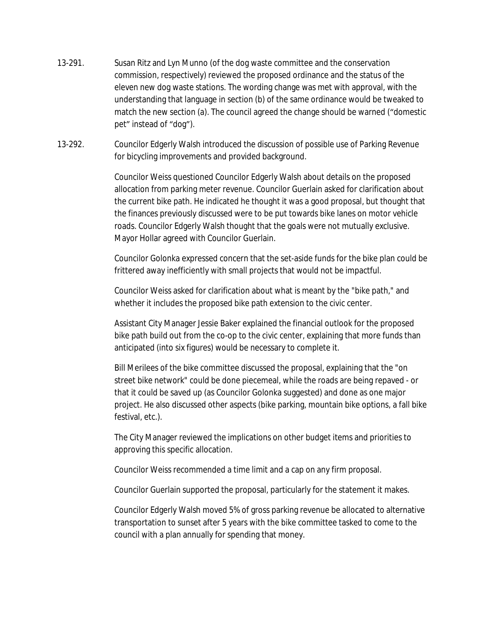- 13-291. Susan Ritz and Lyn Munno (of the dog waste committee and the conservation commission, respectively) reviewed the proposed ordinance and the status of the eleven new dog waste stations. The wording change was met with approval, with the understanding that language in section (b) of the same ordinance would be tweaked to match the new section (a). The council agreed the change should be warned ("domestic pet" instead of "dog").
- 13-292. Councilor Edgerly Walsh introduced the discussion of possible use of Parking Revenue for bicycling improvements and provided background.

Councilor Weiss questioned Councilor Edgerly Walsh about details on the proposed allocation from parking meter revenue. Councilor Guerlain asked for clarification about the current bike path. He indicated he thought it was a good proposal, but thought that the finances previously discussed were to be put towards bike lanes on motor vehicle roads. Councilor Edgerly Walsh thought that the goals were not mutually exclusive. Mayor Hollar agreed with Councilor Guerlain.

Councilor Golonka expressed concern that the set-aside funds for the bike plan could be frittered away inefficiently with small projects that would not be impactful.

Councilor Weiss asked for clarification about what is meant by the "bike path," and whether it includes the proposed bike path extension to the civic center.

Assistant City Manager Jessie Baker explained the financial outlook for the proposed bike path build out from the co-op to the civic center, explaining that more funds than anticipated (into six figures) would be necessary to complete it.

Bill Merilees of the bike committee discussed the proposal, explaining that the "on street bike network" could be done piecemeal, while the roads are being repaved - or that it could be saved up (as Councilor Golonka suggested) and done as one major project. He also discussed other aspects (bike parking, mountain bike options, a fall bike festival, etc.).

The City Manager reviewed the implications on other budget items and priorities to approving this specific allocation.

Councilor Weiss recommended a time limit and a cap on any firm proposal.

Councilor Guerlain supported the proposal, particularly for the statement it makes.

Councilor Edgerly Walsh moved 5% of gross parking revenue be allocated to alternative transportation to sunset after 5 years with the bike committee tasked to come to the council with a plan annually for spending that money.